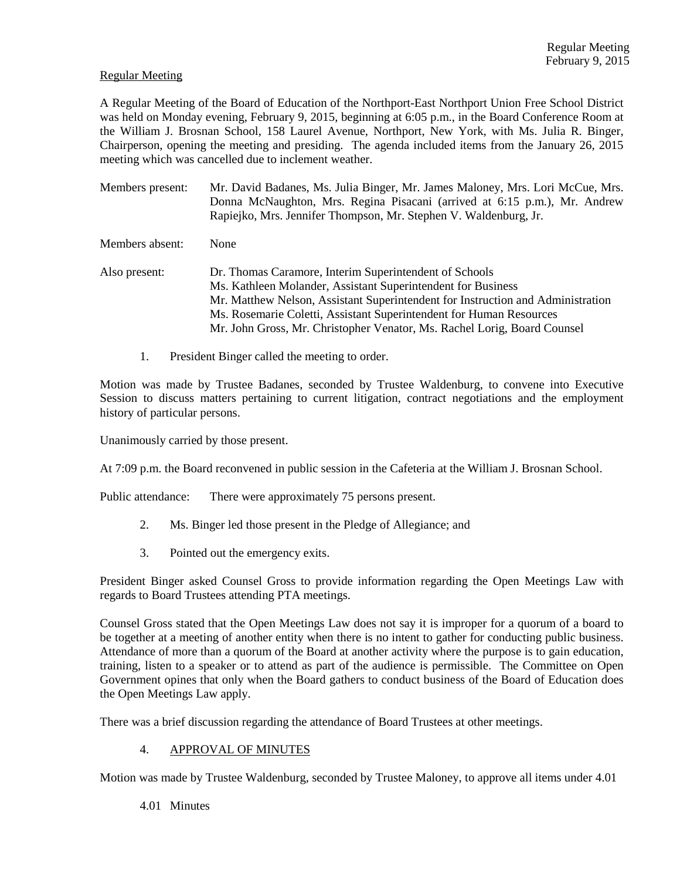#### Regular Meeting

A Regular Meeting of the Board of Education of the Northport-East Northport Union Free School District was held on Monday evening, February 9, 2015, beginning at 6:05 p.m., in the Board Conference Room at the William J. Brosnan School, 158 Laurel Avenue, Northport, New York, with Ms. Julia R. Binger, Chairperson, opening the meeting and presiding. The agenda included items from the January 26, 2015 meeting which was cancelled due to inclement weather.

Members present: Mr. David Badanes, Ms. Julia Binger, Mr. James Maloney, Mrs. Lori McCue, Mrs. Donna McNaughton, Mrs. Regina Pisacani (arrived at 6:15 p.m.), Mr. Andrew Rapiejko, Mrs. Jennifer Thompson, Mr. Stephen V. Waldenburg, Jr.

Members absent: None

- Also present: Dr. Thomas Caramore, Interim Superintendent of Schools Ms. Kathleen Molander, Assistant Superintendent for Business Mr. Matthew Nelson, Assistant Superintendent for Instruction and Administration Ms. Rosemarie Coletti, Assistant Superintendent for Human Resources Mr. John Gross, Mr. Christopher Venator, Ms. Rachel Lorig, Board Counsel
	- 1. President Binger called the meeting to order.

Motion was made by Trustee Badanes, seconded by Trustee Waldenburg, to convene into Executive Session to discuss matters pertaining to current litigation, contract negotiations and the employment history of particular persons.

Unanimously carried by those present.

At 7:09 p.m. the Board reconvened in public session in the Cafeteria at the William J. Brosnan School.

Public attendance: There were approximately 75 persons present.

- 2. Ms. Binger led those present in the Pledge of Allegiance; and
- 3. Pointed out the emergency exits.

President Binger asked Counsel Gross to provide information regarding the Open Meetings Law with regards to Board Trustees attending PTA meetings.

Counsel Gross stated that the Open Meetings Law does not say it is improper for a quorum of a board to be together at a meeting of another entity when there is no intent to gather for conducting public business. Attendance of more than a quorum of the Board at another activity where the purpose is to gain education, training, listen to a speaker or to attend as part of the audience is permissible. The Committee on Open Government opines that only when the Board gathers to conduct business of the Board of Education does the Open Meetings Law apply.

There was a brief discussion regarding the attendance of Board Trustees at other meetings.

# 4. APPROVAL OF MINUTES

Motion was made by Trustee Waldenburg, seconded by Trustee Maloney, to approve all items under 4.01

4.01 Minutes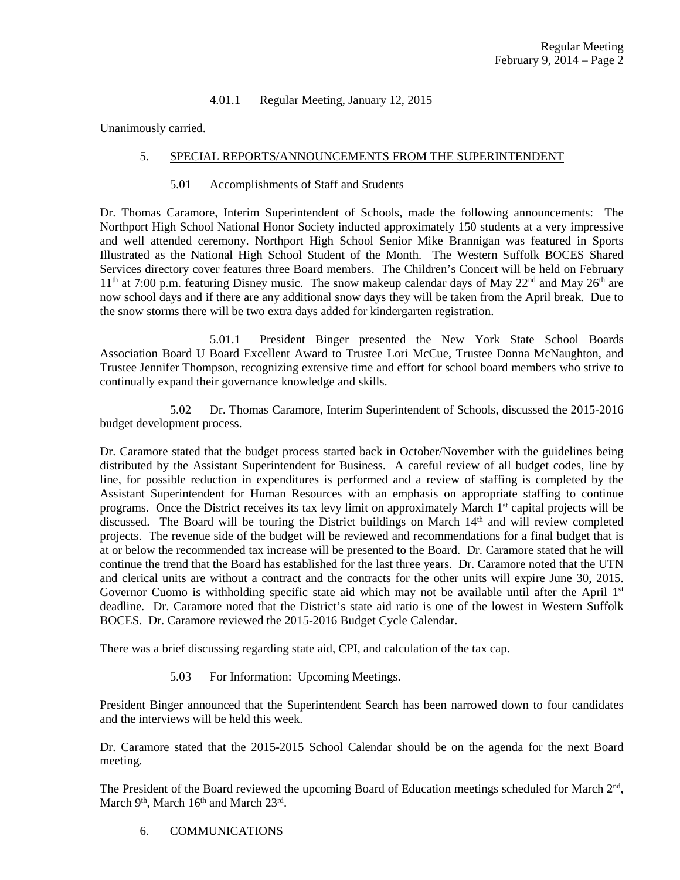# 4.01.1 Regular Meeting, January 12, 2015

Unanimously carried.

# 5. SPECIAL REPORTS/ANNOUNCEMENTS FROM THE SUPERINTENDENT

5.01 Accomplishments of Staff and Students

Dr. Thomas Caramore, Interim Superintendent of Schools, made the following announcements: The Northport High School National Honor Society inducted approximately 150 students at a very impressive and well attended ceremony. Northport High School Senior Mike Brannigan was featured in Sports Illustrated as the National High School Student of the Month. The Western Suffolk BOCES Shared Services directory cover features three Board members. The Children's Concert will be held on February  $11<sup>th</sup>$  at 7:00 p.m. featuring Disney music. The snow makeup calendar days of May 22<sup>nd</sup> and May 26<sup>th</sup> are now school days and if there are any additional snow days they will be taken from the April break. Due to the snow storms there will be two extra days added for kindergarten registration.

 5.01.1 President Binger presented the New York State School Boards Association Board U Board Excellent Award to Trustee Lori McCue, Trustee Donna McNaughton, and Trustee Jennifer Thompson, recognizing extensive time and effort for school board members who strive to continually expand their governance knowledge and skills.

 5.02 Dr. Thomas Caramore, Interim Superintendent of Schools, discussed the 2015-2016 budget development process.

Dr. Caramore stated that the budget process started back in October/November with the guidelines being distributed by the Assistant Superintendent for Business. A careful review of all budget codes, line by line, for possible reduction in expenditures is performed and a review of staffing is completed by the Assistant Superintendent for Human Resources with an emphasis on appropriate staffing to continue programs. Once the District receives its tax levy limit on approximately March 1<sup>st</sup> capital projects will be discussed. The Board will be touring the District buildings on March 14<sup>th</sup> and will review completed projects. The revenue side of the budget will be reviewed and recommendations for a final budget that is at or below the recommended tax increase will be presented to the Board. Dr. Caramore stated that he will continue the trend that the Board has established for the last three years. Dr. Caramore noted that the UTN and clerical units are without a contract and the contracts for the other units will expire June 30, 2015. Governor Cuomo is withholding specific state aid which may not be available until after the April  $1<sup>st</sup>$ deadline. Dr. Caramore noted that the District's state aid ratio is one of the lowest in Western Suffolk BOCES. Dr. Caramore reviewed the 2015-2016 Budget Cycle Calendar.

There was a brief discussing regarding state aid, CPI, and calculation of the tax cap.

5.03 For Information: Upcoming Meetings.

President Binger announced that the Superintendent Search has been narrowed down to four candidates and the interviews will be held this week.

Dr. Caramore stated that the 2015-2015 School Calendar should be on the agenda for the next Board meeting.

The President of the Board reviewed the upcoming Board of Education meetings scheduled for March 2<sup>nd</sup>, March  $9<sup>th</sup>$ , March  $16<sup>th</sup>$  and March  $23<sup>rd</sup>$ .

# 6. COMMUNICATIONS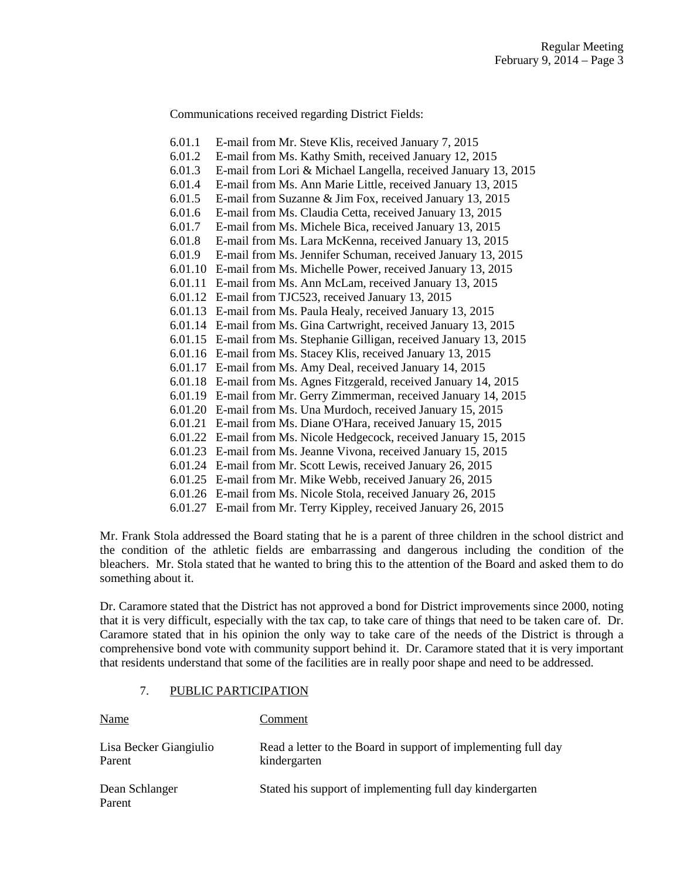Communications received regarding District Fields:

6.01.1 E-mail from Mr. Steve Klis, received January 7, 2015 6.01.2 E-mail from Ms. Kathy Smith, received January 12, 2015 6.01.3 E-mail from Lori & Michael Langella, received January 13, 2015 6.01.4 E-mail from Ms. Ann Marie Little, received January 13, 2015 6.01.5 E-mail from Suzanne & Jim Fox, received January 13, 2015 6.01.6 E-mail from Ms. Claudia Cetta, received January 13, 2015 6.01.7 E-mail from Ms. Michele Bica, received January 13, 2015 6.01.8 E-mail from Ms. Lara McKenna, received January 13, 2015 6.01.9 E-mail from Ms. Jennifer Schuman, received January 13, 2015 6.01.10 E-mail from Ms. Michelle Power, received January 13, 2015 6.01.11 E-mail from Ms. Ann McLam, received January 13, 2015 6.01.12 E-mail from TJC523, received January 13, 2015 6.01.13 E-mail from Ms. Paula Healy, received January 13, 2015 6.01.14 E-mail from Ms. Gina Cartwright, received January 13, 2015 6.01.15 E-mail from Ms. Stephanie Gilligan, received January 13, 2015 6.01.16 E-mail from Ms. Stacey Klis, received January 13, 2015 6.01.17 E-mail from Ms. Amy Deal, received January 14, 2015 6.01.18 E-mail from Ms. Agnes Fitzgerald, received January 14, 2015 6.01.19 E-mail from Mr. Gerry Zimmerman, received January 14, 2015 6.01.20 E-mail from Ms. Una Murdoch, received January 15, 2015 6.01.21 E-mail from Ms. Diane O'Hara, received January 15, 2015 6.01.22 E-mail from Ms. Nicole Hedgecock, received January 15, 2015 6.01.23 E-mail from Ms. Jeanne Vivona, received January 15, 2015 6.01.24 E-mail from Mr. Scott Lewis, received January 26, 2015 6.01.25 E-mail from Mr. Mike Webb, received January 26, 2015 6.01.26 E-mail from Ms. Nicole Stola, received January 26, 2015 6.01.27 E-mail from Mr. Terry Kippley, received January 26, 2015

Mr. Frank Stola addressed the Board stating that he is a parent of three children in the school district and the condition of the athletic fields are embarrassing and dangerous including the condition of the bleachers. Mr. Stola stated that he wanted to bring this to the attention of the Board and asked them to do something about it.

Dr. Caramore stated that the District has not approved a bond for District improvements since 2000, noting that it is very difficult, especially with the tax cap, to take care of things that need to be taken care of. Dr. Caramore stated that in his opinion the only way to take care of the needs of the District is through a comprehensive bond vote with community support behind it. Dr. Caramore stated that it is very important that residents understand that some of the facilities are in really poor shape and need to be addressed.

# 7. PUBLIC PARTICIPATION

| Name                             | Comment                                                                        |
|----------------------------------|--------------------------------------------------------------------------------|
| Lisa Becker Giangiulio<br>Parent | Read a letter to the Board in support of implementing full day<br>kindergarten |
| Dean Schlanger<br>Parent         | Stated his support of implementing full day kindergarten                       |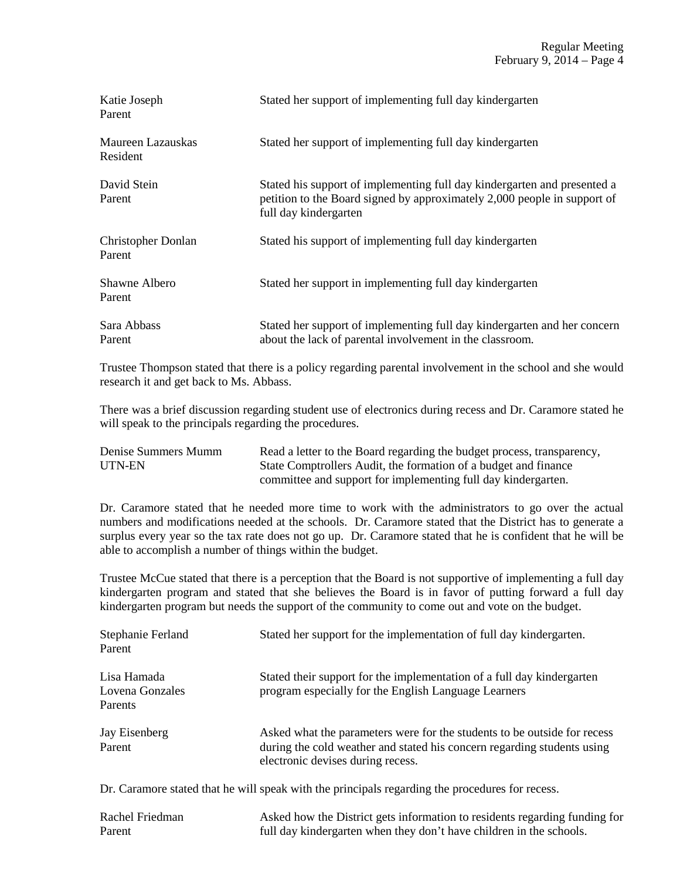| Katie Joseph<br>Parent              | Stated her support of implementing full day kindergarten                                                                                                                      |
|-------------------------------------|-------------------------------------------------------------------------------------------------------------------------------------------------------------------------------|
| Maureen Lazauskas<br>Resident       | Stated her support of implementing full day kindergarten                                                                                                                      |
| David Stein<br>Parent               | Stated his support of implementing full day kindergarten and presented a<br>petition to the Board signed by approximately 2,000 people in support of<br>full day kindergarten |
| <b>Christopher Donlan</b><br>Parent | Stated his support of implementing full day kindergarten                                                                                                                      |
| Shawne Albero<br>Parent             | Stated her support in implementing full day kindergarten                                                                                                                      |
| Sara Abbass<br>Parent               | Stated her support of implementing full day kindergarten and her concern<br>about the lack of parental involvement in the classroom.                                          |

Trustee Thompson stated that there is a policy regarding parental involvement in the school and she would research it and get back to Ms. Abbass.

There was a brief discussion regarding student use of electronics during recess and Dr. Caramore stated he will speak to the principals regarding the procedures.

| Denise Summers Mumm | Read a letter to the Board regarding the budget process, transparency, |
|---------------------|------------------------------------------------------------------------|
| UTN-EN              | State Comptrollers Audit, the formation of a budget and finance        |
|                     | committee and support for implementing full day kindergarten.          |

Dr. Caramore stated that he needed more time to work with the administrators to go over the actual numbers and modifications needed at the schools. Dr. Caramore stated that the District has to generate a surplus every year so the tax rate does not go up. Dr. Caramore stated that he is confident that he will be able to accomplish a number of things within the budget.

Trustee McCue stated that there is a perception that the Board is not supportive of implementing a full day kindergarten program and stated that she believes the Board is in favor of putting forward a full day kindergarten program but needs the support of the community to come out and vote on the budget.

| Stephanie Ferland<br>Parent               | Stated her support for the implementation of full day kindergarten.                                                                                                                      |
|-------------------------------------------|------------------------------------------------------------------------------------------------------------------------------------------------------------------------------------------|
| Lisa Hamada<br>Lovena Gonzales<br>Parents | Stated their support for the implementation of a full day kindergarten<br>program especially for the English Language Learners                                                           |
| Jay Eisenberg<br>Parent                   | Asked what the parameters were for the students to be outside for recess<br>during the cold weather and stated his concern regarding students using<br>electronic devises during recess. |

Dr. Caramore stated that he will speak with the principals regarding the procedures for recess.

| Rachel Friedman | Asked how the District gets information to residents regarding funding for |
|-----------------|----------------------------------------------------------------------------|
| Parent          | full day kindergarten when they don't have children in the schools.        |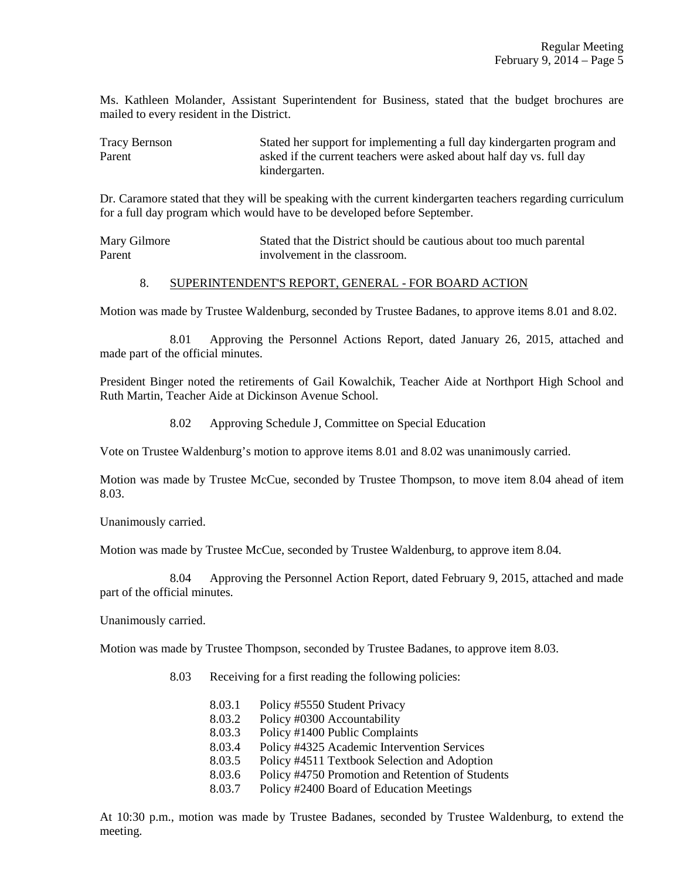Ms. Kathleen Molander, Assistant Superintendent for Business, stated that the budget brochures are mailed to every resident in the District.

Tracy Bernson Stated her support for implementing a full day kindergarten program and Parent asked if the current teachers were asked about half day vs. full day kindergarten.

Dr. Caramore stated that they will be speaking with the current kindergarten teachers regarding curriculum for a full day program which would have to be developed before September.

Mary Gilmore Stated that the District should be cautious about too much parental Parent **involvement** in the classroom.

#### 8. SUPERINTENDENT'S REPORT, GENERAL - FOR BOARD ACTION

Motion was made by Trustee Waldenburg, seconded by Trustee Badanes, to approve items 8.01 and 8.02.

 8.01 Approving the Personnel Actions Report, dated January 26, 2015, attached and made part of the official minutes.

President Binger noted the retirements of Gail Kowalchik, Teacher Aide at Northport High School and Ruth Martin, Teacher Aide at Dickinson Avenue School.

8.02 Approving Schedule J, Committee on Special Education

Vote on Trustee Waldenburg's motion to approve items 8.01 and 8.02 was unanimously carried.

Motion was made by Trustee McCue, seconded by Trustee Thompson, to move item 8.04 ahead of item 8.03.

Unanimously carried.

Motion was made by Trustee McCue, seconded by Trustee Waldenburg, to approve item 8.04.

 8.04 Approving the Personnel Action Report, dated February 9, 2015, attached and made part of the official minutes.

Unanimously carried.

Motion was made by Trustee Thompson, seconded by Trustee Badanes, to approve item 8.03.

8.03 Receiving for a first reading the following policies:

 8.03.1 Policy #5550 Student Privacy 8.03.2 Policy #0300 Accountability 8.03.3 Policy #1400 Public Complaints 8.03.4 Policy #4325 Academic Intervention Services 8.03.5 Policy #4511 Textbook Selection and Adoption 8.03.6 Policy #4750 Promotion and Retention of Students 8.03.7 Policy #2400 Board of Education Meetings

At 10:30 p.m., motion was made by Trustee Badanes, seconded by Trustee Waldenburg, to extend the meeting.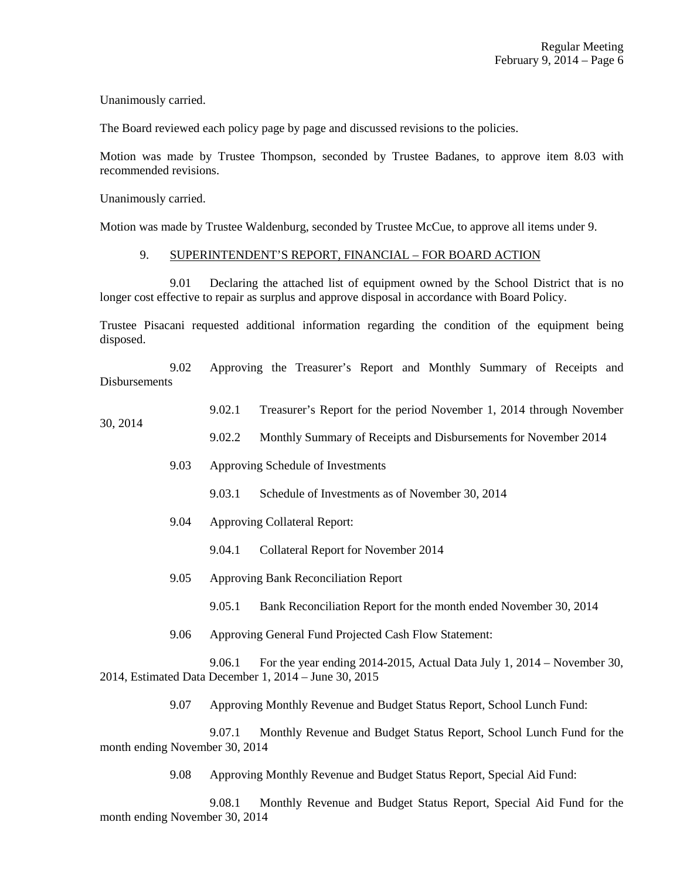Unanimously carried.

The Board reviewed each policy page by page and discussed revisions to the policies.

Motion was made by Trustee Thompson, seconded by Trustee Badanes, to approve item 8.03 with recommended revisions.

Unanimously carried.

30, 2014

Motion was made by Trustee Waldenburg, seconded by Trustee McCue, to approve all items under 9.

#### 9. SUPERINTENDENT'S REPORT, FINANCIAL – FOR BOARD ACTION

 9.01 Declaring the attached list of equipment owned by the School District that is no longer cost effective to repair as surplus and approve disposal in accordance with Board Policy.

Trustee Pisacani requested additional information regarding the condition of the equipment being disposed.

 9.02 Approving the Treasurer's Report and Monthly Summary of Receipts and Disbursements

- 9.02.1 Treasurer's Report for the period November 1, 2014 through November
	- 9.02.2 Monthly Summary of Receipts and Disbursements for November 2014
		- 9.03 Approving Schedule of Investments
			- 9.03.1 Schedule of Investments as of November 30, 2014
		- 9.04 Approving Collateral Report:
			- 9.04.1 Collateral Report for November 2014
		- 9.05 Approving Bank Reconciliation Report
			- 9.05.1 Bank Reconciliation Report for the month ended November 30, 2014
		- 9.06 Approving General Fund Projected Cash Flow Statement:

 9.06.1 For the year ending 2014-2015, Actual Data July 1, 2014 – November 30, 2014, Estimated Data December 1, 2014 – June 30, 2015

9.07 Approving Monthly Revenue and Budget Status Report, School Lunch Fund:

 9.07.1 Monthly Revenue and Budget Status Report, School Lunch Fund for the month ending November 30, 2014

9.08 Approving Monthly Revenue and Budget Status Report, Special Aid Fund:

 9.08.1 Monthly Revenue and Budget Status Report, Special Aid Fund for the month ending November 30, 2014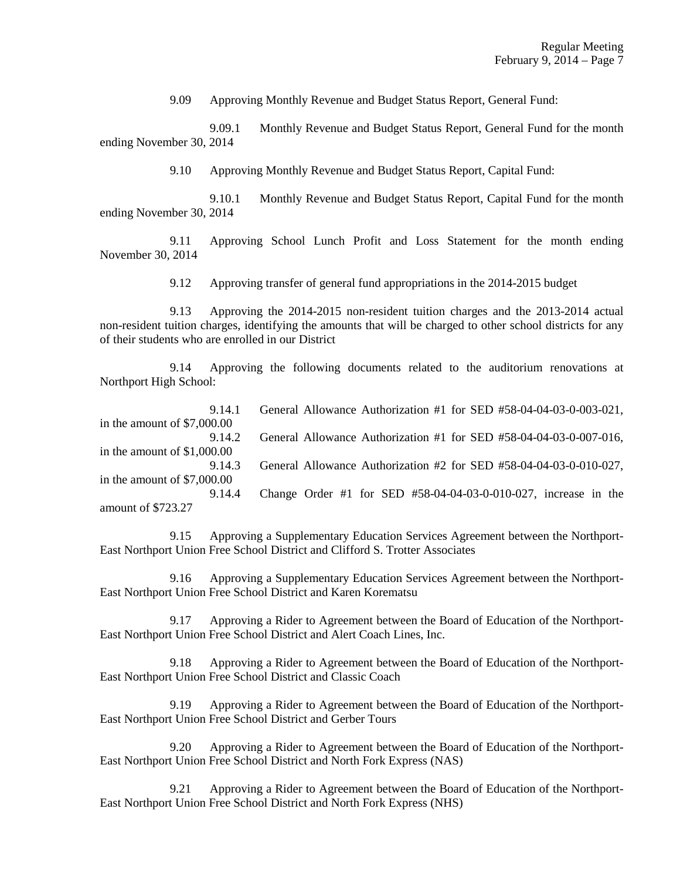9.09 Approving Monthly Revenue and Budget Status Report, General Fund:

 9.09.1 Monthly Revenue and Budget Status Report, General Fund for the month ending November 30, 2014

9.10 Approving Monthly Revenue and Budget Status Report, Capital Fund:

 9.10.1 Monthly Revenue and Budget Status Report, Capital Fund for the month ending November 30, 2014

 9.11 Approving School Lunch Profit and Loss Statement for the month ending November 30, 2014

9.12 Approving transfer of general fund appropriations in the 2014-2015 budget

 9.13 Approving the 2014-2015 non-resident tuition charges and the 2013-2014 actual non-resident tuition charges, identifying the amounts that will be charged to other school districts for any of their students who are enrolled in our District

 9.14 Approving the following documents related to the auditorium renovations at Northport High School:

| 9.14.1                       | General Allowance Authorization #1 for SED #58-04-04-03-0-003-021, |
|------------------------------|--------------------------------------------------------------------|
| in the amount of $$7,000.00$ |                                                                    |
| 9.14.2                       | General Allowance Authorization #1 for SED #58-04-04-03-0-007-016, |
| in the amount of $$1,000.00$ |                                                                    |
| 9.14.3                       | General Allowance Authorization #2 for SED #58-04-04-03-0-010-027, |
| in the amount of $$7,000.00$ |                                                                    |
| 9.14.4                       | Change Order #1 for SED #58-04-04-03-0-010-027, increase in the    |
| amount of \$723.27           |                                                                    |

 9.15 Approving a Supplementary Education Services Agreement between the Northport-East Northport Union Free School District and Clifford S. Trotter Associates

 9.16 Approving a Supplementary Education Services Agreement between the Northport-East Northport Union Free School District and Karen Korematsu

 9.17 Approving a Rider to Agreement between the Board of Education of the Northport-East Northport Union Free School District and Alert Coach Lines, Inc.

 9.18 Approving a Rider to Agreement between the Board of Education of the Northport-East Northport Union Free School District and Classic Coach

 9.19 Approving a Rider to Agreement between the Board of Education of the Northport-East Northport Union Free School District and Gerber Tours

 9.20 Approving a Rider to Agreement between the Board of Education of the Northport-East Northport Union Free School District and North Fork Express (NAS)

 9.21 Approving a Rider to Agreement between the Board of Education of the Northport-East Northport Union Free School District and North Fork Express (NHS)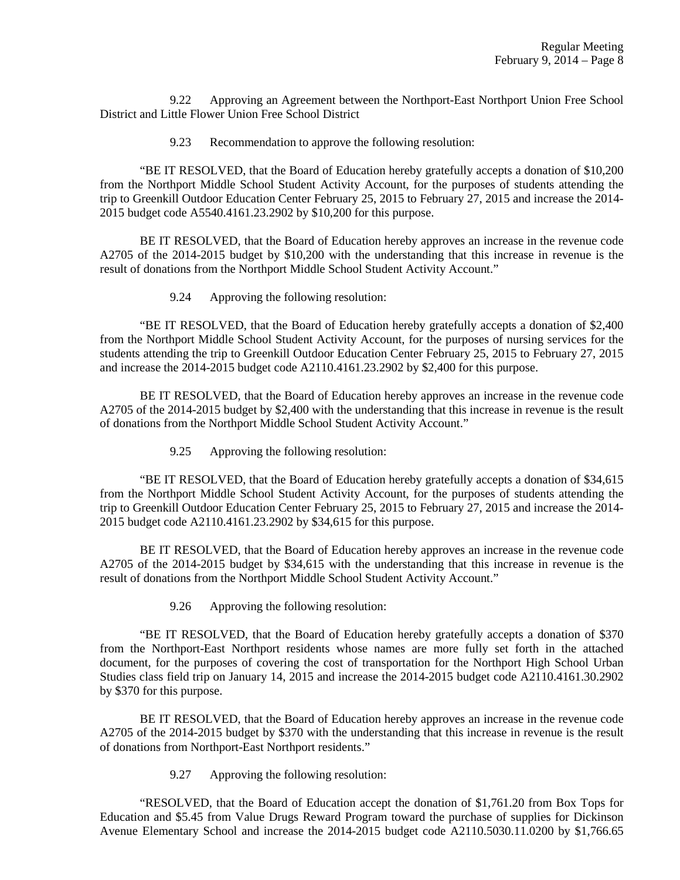9.22 Approving an Agreement between the Northport-East Northport Union Free School District and Little Flower Union Free School District

9.23 Recommendation to approve the following resolution:

 "BE IT RESOLVED, that the Board of Education hereby gratefully accepts a donation of \$10,200 from the Northport Middle School Student Activity Account, for the purposes of students attending the trip to Greenkill Outdoor Education Center February 25, 2015 to February 27, 2015 and increase the 2014- 2015 budget code A5540.4161.23.2902 by \$10,200 for this purpose.

 BE IT RESOLVED, that the Board of Education hereby approves an increase in the revenue code A2705 of the 2014-2015 budget by \$10,200 with the understanding that this increase in revenue is the result of donations from the Northport Middle School Student Activity Account."

9.24 Approving the following resolution:

 "BE IT RESOLVED, that the Board of Education hereby gratefully accepts a donation of \$2,400 from the Northport Middle School Student Activity Account, for the purposes of nursing services for the students attending the trip to Greenkill Outdoor Education Center February 25, 2015 to February 27, 2015 and increase the 2014-2015 budget code A2110.4161.23.2902 by \$2,400 for this purpose.

 BE IT RESOLVED, that the Board of Education hereby approves an increase in the revenue code A2705 of the 2014-2015 budget by \$2,400 with the understanding that this increase in revenue is the result of donations from the Northport Middle School Student Activity Account."

9.25 Approving the following resolution:

 "BE IT RESOLVED, that the Board of Education hereby gratefully accepts a donation of \$34,615 from the Northport Middle School Student Activity Account, for the purposes of students attending the trip to Greenkill Outdoor Education Center February 25, 2015 to February 27, 2015 and increase the 2014- 2015 budget code A2110.4161.23.2902 by \$34,615 for this purpose.

 BE IT RESOLVED, that the Board of Education hereby approves an increase in the revenue code A2705 of the 2014-2015 budget by \$34,615 with the understanding that this increase in revenue is the result of donations from the Northport Middle School Student Activity Account."

9.26 Approving the following resolution:

 "BE IT RESOLVED, that the Board of Education hereby gratefully accepts a donation of \$370 from the Northport-East Northport residents whose names are more fully set forth in the attached document, for the purposes of covering the cost of transportation for the Northport High School Urban Studies class field trip on January 14, 2015 and increase the 2014-2015 budget code A2110.4161.30.2902 by \$370 for this purpose.

 BE IT RESOLVED, that the Board of Education hereby approves an increase in the revenue code A2705 of the 2014-2015 budget by \$370 with the understanding that this increase in revenue is the result of donations from Northport-East Northport residents."

9.27 Approving the following resolution:

 "RESOLVED, that the Board of Education accept the donation of \$1,761.20 from Box Tops for Education and \$5.45 from Value Drugs Reward Program toward the purchase of supplies for Dickinson Avenue Elementary School and increase the 2014-2015 budget code A2110.5030.11.0200 by \$1,766.65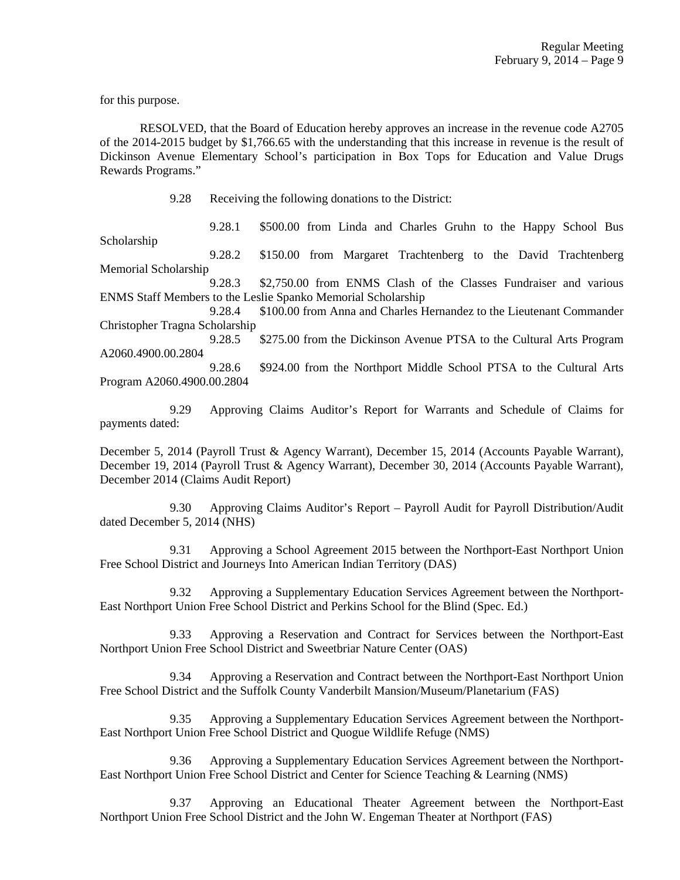for this purpose.

 RESOLVED, that the Board of Education hereby approves an increase in the revenue code A2705 of the 2014-2015 budget by \$1,766.65 with the understanding that this increase in revenue is the result of Dickinson Avenue Elementary School's participation in Box Tops for Education and Value Drugs Rewards Programs."

9.28 Receiving the following donations to the District:

 9.28.1 \$500.00 from Linda and Charles Gruhn to the Happy School Bus Scholarship

 9.28.2 \$150.00 from Margaret Trachtenberg to the David Trachtenberg Memorial Scholarship

 9.28.3 \$2,750.00 from ENMS Clash of the Classes Fundraiser and various ENMS Staff Members to the Leslie Spanko Memorial Scholarship

 9.28.4 \$100.00 from Anna and Charles Hernandez to the Lieutenant Commander Christopher Tragna Scholarship

 9.28.5 \$275.00 from the Dickinson Avenue PTSA to the Cultural Arts Program A2060.4900.00.2804

 9.28.6 \$924.00 from the Northport Middle School PTSA to the Cultural Arts Program A2060.4900.00.2804

 9.29 Approving Claims Auditor's Report for Warrants and Schedule of Claims for payments dated:

December 5, 2014 (Payroll Trust & Agency Warrant), December 15, 2014 (Accounts Payable Warrant), December 19, 2014 (Payroll Trust & Agency Warrant), December 30, 2014 (Accounts Payable Warrant), December 2014 (Claims Audit Report)

 9.30 Approving Claims Auditor's Report – Payroll Audit for Payroll Distribution/Audit dated December 5, 2014 (NHS)

 9.31 Approving a School Agreement 2015 between the Northport-East Northport Union Free School District and Journeys Into American Indian Territory (DAS)

 9.32 Approving a Supplementary Education Services Agreement between the Northport-East Northport Union Free School District and Perkins School for the Blind (Spec. Ed.)

 9.33 Approving a Reservation and Contract for Services between the Northport-East Northport Union Free School District and Sweetbriar Nature Center (OAS)

 9.34 Approving a Reservation and Contract between the Northport-East Northport Union Free School District and the Suffolk County Vanderbilt Mansion/Museum/Planetarium (FAS)

 9.35 Approving a Supplementary Education Services Agreement between the Northport-East Northport Union Free School District and Quogue Wildlife Refuge (NMS)

 9.36 Approving a Supplementary Education Services Agreement between the Northport-East Northport Union Free School District and Center for Science Teaching & Learning (NMS)

 9.37 Approving an Educational Theater Agreement between the Northport-East Northport Union Free School District and the John W. Engeman Theater at Northport (FAS)